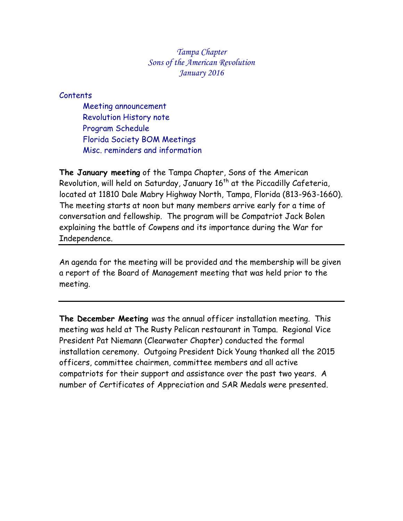*Tampa Chapter Sons of the American Revolution January 2016*

# Contents

Meeting announcement Revolution History note Program Schedule Florida Society BOM Meetings Misc. reminders and information

**The January meeting** of the Tampa Chapter, Sons of the American Revolution, will held on Saturday, January 16<sup>th</sup> at the Piccadilly Cafeteria, located at 11810 Dale Mabry Highway North, Tampa, Florida (813-963-1660). The meeting starts at noon but many members arrive early for a time of conversation and fellowship. The program will be Compatriot Jack Bolen explaining the battle of Cowpens and its importance during the War for Independence.

An agenda for the meeting will be provided and the membership will be given a report of the Board of Management meeting that was held prior to the meeting.

**The December Meeting** was the annual officer installation meeting. This meeting was held at The Rusty Pelican restaurant in Tampa. Regional Vice President Pat Niemann (Clearwater Chapter) conducted the formal installation ceremony. Outgoing President Dick Young thanked all the 2015 officers, committee chairmen, committee members and all active compatriots for their support and assistance over the past two years. A number of Certificates of Appreciation and SAR Medals were presented.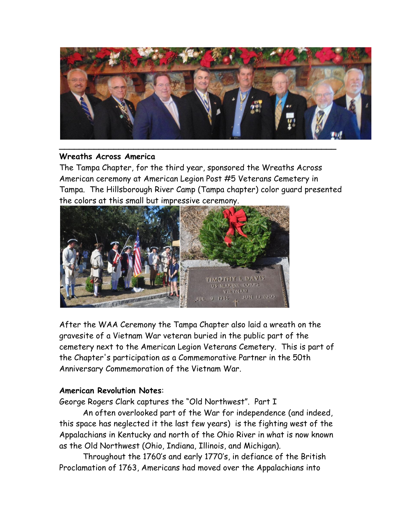

### **Wreaths Across America**

The Tampa Chapter, for the third year, sponsored the Wreaths Across American ceremony at American Legion Post #5 Veterans Cemetery in Tampa. The Hillsborough River Camp (Tampa chapter) color guard presented the colors at this small but impressive ceremony.



After the WAA Ceremony the Tampa Chapter also laid a wreath on the gravesite of a Vietnam War veteran buried in the public part of the cemetery next to the American Legion Veterans Cemetery. This is part of the Chapter's participation as a Commemorative Partner in the 50th Anniversary Commemoration of the Vietnam War.

# **American Revolution Notes**:

George Rogers Clark captures the "Old Northwest". Part I

An often overlooked part of the War for independence (and indeed, this space has neglected it the last few years) is the fighting west of the Appalachians in Kentucky and north of the Ohio River in what is now known as the Old Northwest (Ohio, Indiana, Illinois, and Michigan).

Throughout the 1760's and early 1770's, in defiance of the British Proclamation of 1763, Americans had moved over the Appalachians into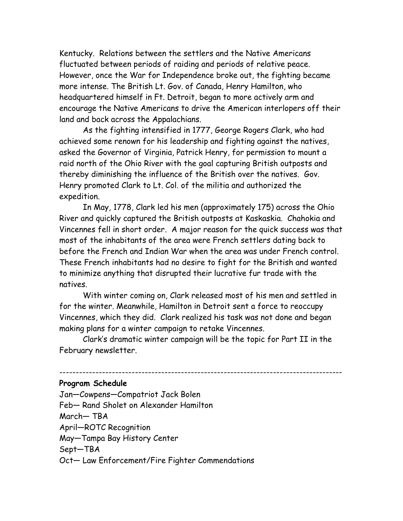Kentucky. Relations between the settlers and the Native Americans fluctuated between periods of raiding and periods of relative peace. However, once the War for Independence broke out, the fighting became more intense. The British Lt. Gov. of Canada, Henry Hamilton, who headquartered himself in Ft. Detroit, began to more actively arm and encourage the Native Americans to drive the American interlopers off their land and back across the Appalachians.

As the fighting intensified in 1777, George Rogers Clark, who had achieved some renown for his leadership and fighting against the natives, asked the Governor of Virginia, Patrick Henry, for permission to mount a raid north of the Ohio River with the goal capturing British outposts and thereby diminishing the influence of the British over the natives. Gov. Henry promoted Clark to Lt. Col. of the militia and authorized the expedition.

In May, 1778, Clark led his men (approximately 175) across the Ohio River and quickly captured the British outposts at Kaskaskia. Chahokia and Vincennes fell in short order. A major reason for the quick success was that most of the inhabitants of the area were French settlers dating back to before the French and Indian War when the area was under French control. These French inhabitants had no desire to fight for the British and wanted to minimize anything that disrupted their lucrative fur trade with the natives.

With winter coming on, Clark released most of his men and settled in for the winter. Meanwhile, Hamilton in Detroit sent a force to reoccupy Vincennes, which they did. Clark realized his task was not done and began making plans for a winter campaign to retake Vincennes.

Clark's dramatic winter campaign will be the topic for Part II in the February newsletter.

--------------------------------------------------------------------------------------

#### **Program Schedule**

Jan—Cowpens—Compatriot Jack Bolen Feb— Rand Sholet on Alexander Hamilton March— TBA April—ROTC Recognition May—Tampa Bay History Center Sept—TBA Oct— Law Enforcement/Fire Fighter Commendations